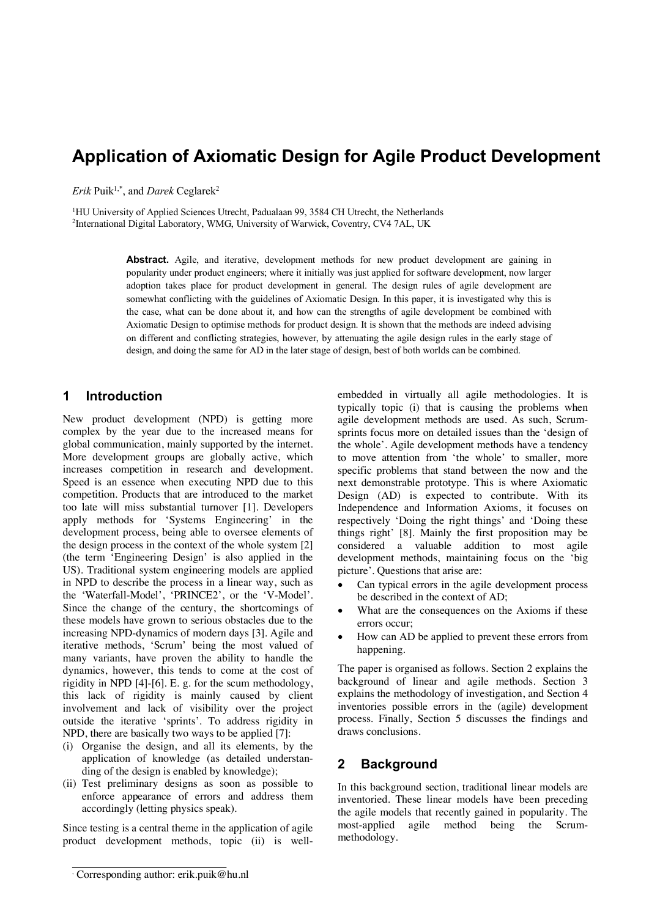# **Application of Axiomatic Design for Agile Product Development**

*Erik* Puik1,\*, and *Darek* Ceglarek2

<sup>1</sup>HU University of Applied Sciences Utrecht, Padualaan 99, 3584 CH Utrecht, the Netherlands 2International Digital Laboratory, WMG, University of Warwick, Coventry, CV4 7AL, UK

> **Abstract.** Agile, and iterative, development methods for new product development are gaining in popularity under product engineers; where it initially was just applied for software development, now larger adoption takes place for product development in general. The design rules of agile development are somewhat conflicting with the guidelines of Axiomatic Design. In this paper, it is investigated why this is the case, what can be done about it, and how can the strengths of agile development be combined with Axiomatic Design to optimise methods for product design. It is shown that the methods are indeed advising on different and conflicting strategies, however, by attenuating the agile design rules in the early stage of design, and doing the same for AD in the later stage of design, best of both worlds can be combined.

# **1 Introduction**

New product development (NPD) is getting more complex by the year due to the increased means for global communication, mainly supported by the internet. More development groups are globally active, which increases competition in research and development. Speed is an essence when executing NPD due to this competition. Products that are introduced to the market too late will miss substantial turnover [1]. Developers apply methods for 'Systems Engineering' in the development process, being able to oversee elements of the design process in the context of the whole system [2] (the term 'Engineering Design' is also applied in the US). Traditional system engineering models are applied in NPD to describe the process in a linear way, such as the 'Waterfall-Model', 'PRINCE2', or the 'V-Model'. Since the change of the century, the shortcomings of these models have grown to serious obstacles due to the increasing NPD-dynamics of modern days [3]. Agile and iterative methods, 'Scrum' being the most valued of many variants, have proven the ability to handle the dynamics, however, this tends to come at the cost of rigidity in NPD [4]-[6]. E. g. for the scum methodology, this lack of rigidity is mainly caused by client involvement and lack of visibility over the project outside the iterative 'sprints'. To address rigidity in NPD, there are basically two ways to be applied [7]:

- (i) Organise the design, and all its elements, by the application of knowledge (as detailed understanding of the design is enabled by knowledge);
- (ii) Test preliminary designs as soon as possible to enforce appearance of errors and address them accordingly (letting physics speak).

Since testing is a central theme in the application of agile product development methods, topic (ii) is wellembedded in virtually all agile methodologies. It is typically topic (i) that is causing the problems when agile development methods are used. As such, Scrumsprints focus more on detailed issues than the 'design of the whole'. Agile development methods have a tendency to move attention from 'the whole' to smaller, more specific problems that stand between the now and the next demonstrable prototype. This is where Axiomatic Design (AD) is expected to contribute. With its Independence and Information Axioms, it focuses on respectively 'Doing the right things' and 'Doing these things right' [8]. Mainly the first proposition may be considered a valuable addition to most agile development methods, maintaining focus on the 'big picture'. Questions that arise are:

- Can typical errors in the agile development process be described in the context of AD;
- What are the consequences on the Axioms if these errors occur;
- How can AD be applied to prevent these errors from happening.

The paper is organised as follows. Section 2 explains the background of linear and agile methods. Section 3 explains the methodology of investigation, and Section 4 inventories possible errors in the (agile) development process. Finally, Section 5 discusses the findings and draws conclusions.

# **2 Background**

In this background section, traditional linear models are inventoried. These linear models have been preceding the agile models that recently gained in popularity. The most-applied agile method being the Scrummethodology.

<sup>\*</sup> Corresponding author: erik.puik@hu.nl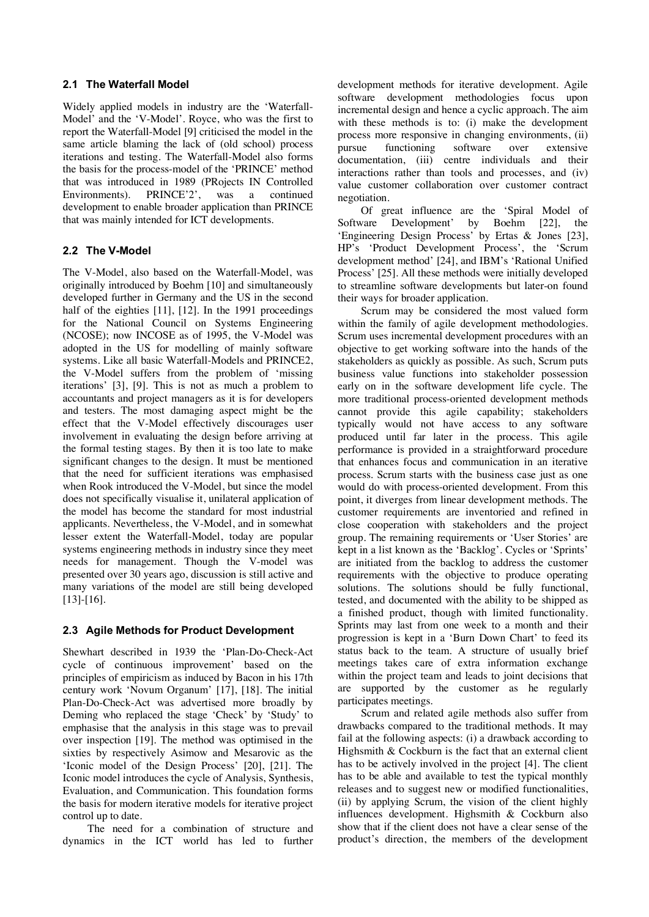## **2.1 The Waterfall Model**

Widely applied models in industry are the 'Waterfall-Model' and the 'V-Model'. Royce, who was the first to report the Waterfall-Model [9] criticised the model in the same article blaming the lack of (old school) process iterations and testing. The Waterfall-Model also forms the basis for the process-model of the 'PRINCE' method that was introduced in 1989 (PRojects IN Controlled Environments). PRINCE'2', was a continued development to enable broader application than PRINCE that was mainly intended for ICT developments.

## **2.2 The V-Model**

The V-Model, also based on the Waterfall-Model, was originally introduced by Boehm [10] and simultaneously developed further in Germany and the US in the second half of the eighties [11], [12]. In the 1991 proceedings for the National Council on Systems Engineering (NCOSE); now INCOSE as of 1995, the V-Model was adopted in the US for modelling of mainly software systems. Like all basic Waterfall-Models and PRINCE2, the V-Model suffers from the problem of 'missing iterations' [3], [9]. This is not as much a problem to accountants and project managers as it is for developers and testers. The most damaging aspect might be the effect that the V-Model effectively discourages user involvement in evaluating the design before arriving at the formal testing stages. By then it is too late to make significant changes to the design. It must be mentioned that the need for sufficient iterations was emphasised when Rook introduced the V-Model, but since the model does not specifically visualise it, unilateral application of the model has become the standard for most industrial applicants. Nevertheless, the V-Model, and in somewhat lesser extent the Waterfall-Model, today are popular systems engineering methods in industry since they meet needs for management. Though the V-model was presented over 30 years ago, discussion is still active and many variations of the model are still being developed [13]-[16].

## **2.3 Agile Methods for Product Development**

Shewhart described in 1939 the 'Plan-Do-Check-Act cycle of continuous improvement' based on the principles of empiricism as induced by Bacon in his 17th century work 'Novum Organum' [17], [18]. The initial Plan-Do-Check-Act was advertised more broadly by Deming who replaced the stage 'Check' by 'Study' to emphasise that the analysis in this stage was to prevail over inspection [19]. The method was optimised in the sixties by respectively Asimow and Mesarovic as the 'Iconic model of the Design Process' [20], [21]. The Iconic model introduces the cycle of Analysis, Synthesis, Evaluation, and Communication. This foundation forms the basis for modern iterative models for iterative project control up to date.

The need for a combination of structure and dynamics in the ICT world has led to further development methods for iterative development. Agile software development methodologies focus upon incremental design and hence a cyclic approach. The aim with these methods is to: (i) make the development process more responsive in changing environments, (ii) pursue tunctioning software over extensive functioning software over extensive documentation, (iii) centre individuals and their interactions rather than tools and processes, and (iv) value customer collaboration over customer contract negotiation.

Of great influence are the 'Spiral Model of Software Development' by Boehm [22], the 'Engineering Design Process' by Ertas & Jones [23], HP's 'Product Development Process', the 'Scrum development method' [24], and IBM's 'Rational Unified Process' [25]. All these methods were initially developed to streamline software developments but later-on found their ways for broader application.

Scrum may be considered the most valued form within the family of agile development methodologies. Scrum uses incremental development procedures with an objective to get working software into the hands of the stakeholders as quickly as possible. As such, Scrum puts business value functions into stakeholder possession early on in the software development life cycle. The more traditional process-oriented development methods cannot provide this agile capability; stakeholders typically would not have access to any software produced until far later in the process. This agile performance is provided in a straightforward procedure that enhances focus and communication in an iterative process. Scrum starts with the business case just as one would do with process-oriented development. From this point, it diverges from linear development methods. The customer requirements are inventoried and refined in close cooperation with stakeholders and the project group. The remaining requirements or 'User Stories' are kept in a list known as the 'Backlog'. Cycles or 'Sprints' are initiated from the backlog to address the customer requirements with the objective to produce operating solutions. The solutions should be fully functional, tested, and documented with the ability to be shipped as a finished product, though with limited functionality. Sprints may last from one week to a month and their progression is kept in a 'Burn Down Chart' to feed its status back to the team. A structure of usually brief meetings takes care of extra information exchange within the project team and leads to joint decisions that are supported by the customer as he regularly participates meetings.

Scrum and related agile methods also suffer from drawbacks compared to the traditional methods. It may fail at the following aspects: (i) a drawback according to Highsmith & Cockburn is the fact that an external client has to be actively involved in the project [4]. The client has to be able and available to test the typical monthly releases and to suggest new or modified functionalities, (ii) by applying Scrum, the vision of the client highly influences development. Highsmith & Cockburn also show that if the client does not have a clear sense of the product's direction, the members of the development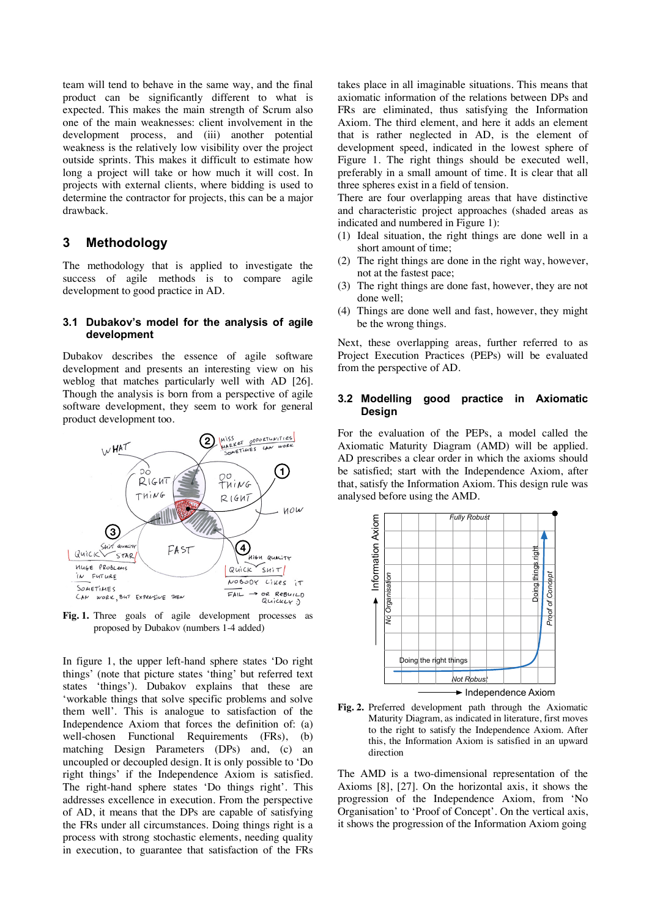team will tend to behave in the same way, and the final product can be significantly different to what is expected. This makes the main strength of Scrum also one of the main weaknesses: client involvement in the development process, and (iii) another potential weakness is the relatively low visibility over the project outside sprints. This makes it difficult to estimate how long a project will take or how much it will cost. In projects with external clients, where bidding is used to determine the contractor for projects, this can be a major drawback.

# **3 Methodology**

The methodology that is applied to investigate the success of agile methods is to compare agile development to good practice in AD.

## **3.1 Dubakov's model for the analysis of agile development**

Dubakov describes the essence of agile software development and presents an interesting view on his weblog that matches particularly well with AD [26]. Though the analysis is born from a perspective of agile software development, they seem to work for general product development too.



**Fig. 1.** Three goals of agile development processes as proposed by Dubakov (numbers 1-4 added)

In figure 1, the upper left-hand sphere states 'Do right things' (note that picture states 'thing' but referred text states 'things'). Dubakov explains that these are 'workable things that solve specific problems and solve them well'. This is analogue to satisfaction of the Independence Axiom that forces the definition of: (a) well-chosen Functional Requirements (FRs), (b) matching Design Parameters (DPs) and, (c) an uncoupled or decoupled design. It is only possible to 'Do right things' if the Independence Axiom is satisfied. The right-hand sphere states 'Do things right'. This addresses excellence in execution. From the perspective of AD, it means that the DPs are capable of satisfying the FRs under all circumstances. Doing things right is a process with strong stochastic elements, needing quality in execution, to guarantee that satisfaction of the FRs takes place in all imaginable situations. This means that axiomatic information of the relations between DPs and FRs are eliminated, thus satisfying the Information Axiom. The third element, and here it adds an element that is rather neglected in AD, is the element of development speed, indicated in the lowest sphere of Figure 1. The right things should be executed well, preferably in a small amount of time. It is clear that all three spheres exist in a field of tension.

There are four overlapping areas that have distinctive and characteristic project approaches (shaded areas as indicated and numbered in Figure 1):

- (1) Ideal situation, the right things are done well in a short amount of time;
- (2) The right things are done in the right way, however, not at the fastest pace;
- (3) The right things are done fast, however, they are not done well;
- (4) Things are done well and fast, however, they might be the wrong things.

Next, these overlapping areas, further referred to as Project Execution Practices (PEPs) will be evaluated from the perspective of AD.

#### **3.2 Modelling good practice in Axiomatic Design**

For the evaluation of the PEPs, a model called the Axiomatic Maturity Diagram (AMD) will be applied. AD prescribes a clear order in which the axioms should be satisfied; start with the Independence Axiom, after that, satisfy the Information Axiom. This design rule was analysed before using the AMD.





The AMD is a two-dimensional representation of the Axioms [8], [27]. On the horizontal axis, it shows the progression of the Independence Axiom, from 'No Organisation' to 'Proof of Concept'. On the vertical axis, it shows the progression of the Information Axiom going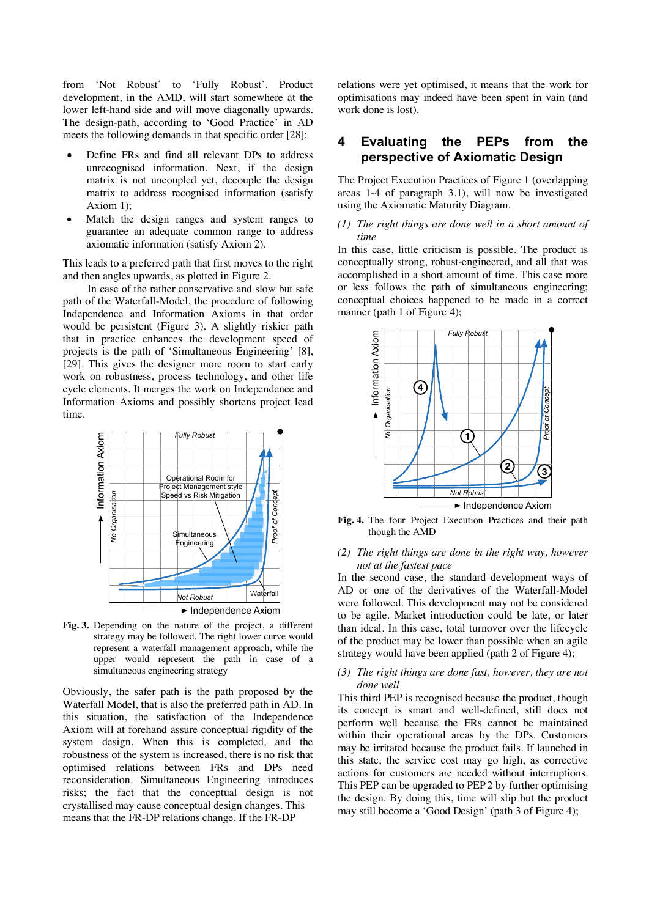from 'Not Robust' to 'Fully Robust'. Product development, in the AMD, will start somewhere at the lower left-hand side and will move diagonally upwards. The design-path, according to 'Good Practice' in AD meets the following demands in that specific order [28]:

- Define FRs and find all relevant DPs to address unrecognised information. Next, if the design matrix is not uncoupled yet, decouple the design matrix to address recognised information (satisfy Axiom 1);
- Match the design ranges and system ranges to guarantee an adequate common range to address axiomatic information (satisfy Axiom 2).

This leads to a preferred path that first moves to the right and then angles upwards, as plotted in Figure 2.

In case of the rather conservative and slow but safe path of the Waterfall-Model, the procedure of following Independence and Information Axioms in that order would be persistent (Figure 3). A slightly riskier path that in practice enhances the development speed of projects is the path of 'Simultaneous Engineering' [8], [29]. This gives the designer more room to start early work on robustness, process technology, and other life cycle elements. It merges the work on Independence and Information Axioms and possibly shortens project lead time.



**Fig. 3.** Depending on the nature of the project, a different strategy may be followed. The right lower curve would represent a waterfall management approach, while the upper would represent the path in case of a simultaneous engineering strategy

Obviously, the safer path is the path proposed by the Waterfall Model, that is also the preferred path in AD. In this situation, the satisfaction of the Independence Axiom will at forehand assure conceptual rigidity of the system design. When this is completed, and the robustness of the system is increased, there is no risk that optimised relations between FRs and DPs need reconsideration. Simultaneous Engineering introduces risks; the fact that the conceptual design is not crystallised may cause conceptual design changes. This means that the FR-DP relations change. If the FR-DP

relations were yet optimised, it means that the work for optimisations may indeed have been spent in vain (and work done is lost).

# **4 Evaluating the PEPs from the perspective of Axiomatic Design**

The Project Execution Practices of Figure 1 (overlapping areas 1-4 of paragraph 3.1), will now be investigated using the Axiomatic Maturity Diagram.

#### *(1) The right things are done well in a short amount of time*

In this case, little criticism is possible. The product is conceptually strong, robust-engineered, and all that was accomplished in a short amount of time. This case more or less follows the path of simultaneous engineering; conceptual choices happened to be made in a correct manner (path 1 of Figure 4);



**Fig. 4.** The four Project Execution Practices and their path though the AMD

## *(2) The right things are done in the right way, however not at the fastest pace*

In the second case, the standard development ways of AD or one of the derivatives of the Waterfall-Model were followed. This development may not be considered to be agile. Market introduction could be late, or later than ideal. In this case, total turnover over the lifecycle of the product may be lower than possible when an agile strategy would have been applied (path 2 of Figure 4);

#### *(3) The right things are done fast, however, they are not done well*

This third PEP is recognised because the product, though its concept is smart and well-defined, still does not perform well because the FRs cannot be maintained within their operational areas by the DPs. Customers may be irritated because the product fails. If launched in this state, the service cost may go high, as corrective actions for customers are needed without interruptions. This PEP can be upgraded to PEP2 by further optimising the design. By doing this, time will slip but the product may still become a 'Good Design' (path 3 of Figure 4);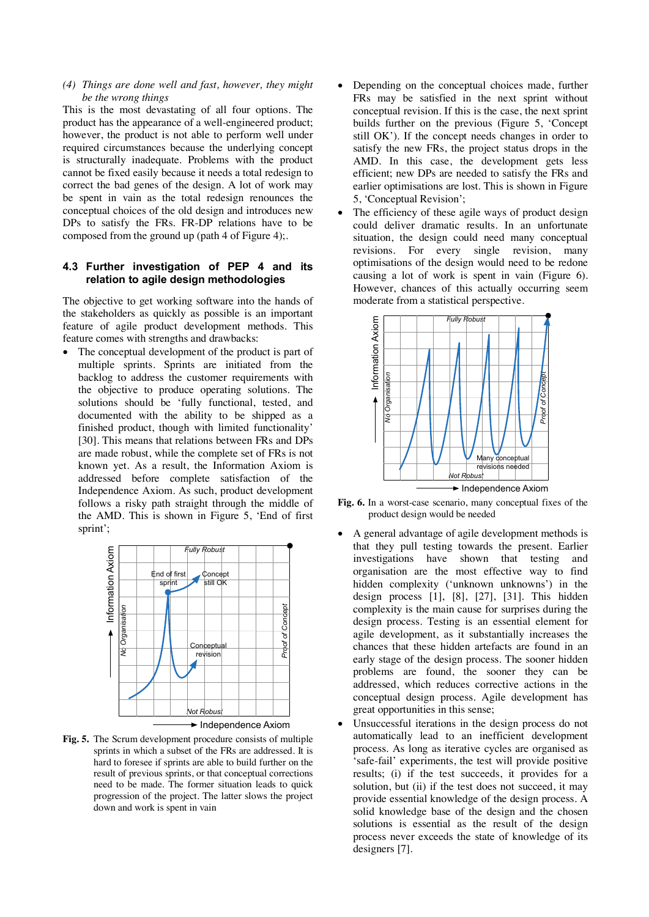#### *(4) Things are done well and fast, however, they might be the wrong things*

This is the most devastating of all four options. The product has the appearance of a well-engineered product; however, the product is not able to perform well under required circumstances because the underlying concept is structurally inadequate. Problems with the product cannot be fixed easily because it needs a total redesign to correct the bad genes of the design. A lot of work may be spent in vain as the total redesign renounces the conceptual choices of the old design and introduces new DPs to satisfy the FRs. FR-DP relations have to be composed from the ground up (path 4 of Figure 4);.

## **4.3 Further investigation of PEP 4 and its relation to agile design methodologies**

The objective to get working software into the hands of the stakeholders as quickly as possible is an important feature of agile product development methods. This feature comes with strengths and drawbacks:

The conceptual development of the product is part of multiple sprints. Sprints are initiated from the backlog to address the customer requirements with the objective to produce operating solutions. The solutions should be 'fully functional, tested, and documented with the ability to be shipped as a finished product, though with limited functionality' [30]. This means that relations between FRs and DPs are made robust, while the complete set of FRs is not known yet. As a result, the Information Axiom is addressed before complete satisfaction of the Independence Axiom. As such, product development follows a risky path straight through the middle of the AMD. This is shown in Figure 5, 'End of first sprint';



**Fig. 5.** The Scrum development procedure consists of multiple sprints in which a subset of the FRs are addressed. It is hard to foresee if sprints are able to build further on the result of previous sprints, or that conceptual corrections need to be made. The former situation leads to quick progression of the project. The latter slows the project down and work is spent in vain

- Depending on the conceptual choices made, further FRs may be satisfied in the next sprint without conceptual revision. If this is the case, the next sprint builds further on the previous (Figure 5, 'Concept still OK'). If the concept needs changes in order to satisfy the new FRs, the project status drops in the AMD. In this case, the development gets less efficient; new DPs are needed to satisfy the FRs and earlier optimisations are lost. This is shown in Figure 5, 'Conceptual Revision';
- The efficiency of these agile ways of product design could deliver dramatic results. In an unfortunate situation, the design could need many conceptual revisions. For every single revision, many optimisations of the design would need to be redone causing a lot of work is spent in vain (Figure 6). However, chances of this actually occurring seem moderate from a statistical perspective.



**Fig. 6.** In a worst-case scenario, many conceptual fixes of the product design would be needed

- A general advantage of agile development methods is that they pull testing towards the present. Earlier investigations have shown that testing and organisation are the most effective way to find hidden complexity ('unknown unknowns') in the design process [1], [8], [27], [31]. This hidden complexity is the main cause for surprises during the design process. Testing is an essential element for agile development, as it substantially increases the chances that these hidden artefacts are found in an early stage of the design process. The sooner hidden problems are found, the sooner they can be addressed, which reduces corrective actions in the conceptual design process. Agile development has great opportunities in this sense;
- Unsuccessful iterations in the design process do not automatically lead to an inefficient development process. As long as iterative cycles are organised as 'safe-fail' experiments, the test will provide positive results; (i) if the test succeeds, it provides for a solution, but (ii) if the test does not succeed, it may provide essential knowledge of the design process. A solid knowledge base of the design and the chosen solutions is essential as the result of the design process never exceeds the state of knowledge of its designers [7].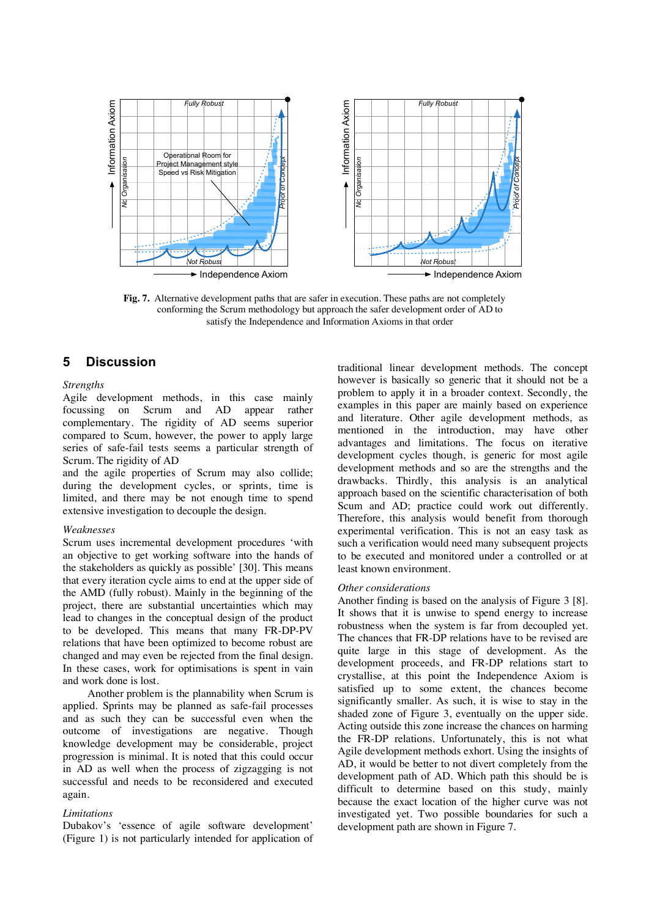

**Fig. 7.** Alternative development paths that are safer in execution. These paths are not completely conforming the Scrum methodology but approach the safer development order of AD to satisfy the Independence and Information Axioms in that order

## **5 Discussion**

#### *Strengths*

Agile development methods, in this case mainly focussing on Scrum and AD appear rather complementary. The rigidity of AD seems superior compared to Scum, however, the power to apply large series of safe-fail tests seems a particular strength of Scrum. The rigidity of AD

and the agile properties of Scrum may also collide; during the development cycles, or sprints, time is limited, and there may be not enough time to spend extensive investigation to decouple the design.

#### *Weaknesses*

Scrum uses incremental development procedures 'with an objective to get working software into the hands of the stakeholders as quickly as possible' [30]. This means that every iteration cycle aims to end at the upper side of the AMD (fully robust). Mainly in the beginning of the project, there are substantial uncertainties which may lead to changes in the conceptual design of the product to be developed. This means that many FR-DP-PV relations that have been optimized to become robust are changed and may even be rejected from the final design. In these cases, work for optimisations is spent in vain and work done is lost.

Another problem is the plannability when Scrum is applied. Sprints may be planned as safe-fail processes and as such they can be successful even when the outcome of investigations are negative. Though knowledge development may be considerable, project progression is minimal. It is noted that this could occur in AD as well when the process of zigzagging is not successful and needs to be reconsidered and executed again.

#### *Limitations*

Dubakov's 'essence of agile software development' (Figure 1) is not particularly intended for application of traditional linear development methods. The concept however is basically so generic that it should not be a problem to apply it in a broader context. Secondly, the examples in this paper are mainly based on experience and literature. Other agile development methods, as mentioned in the introduction, may have other advantages and limitations. The focus on iterative development cycles though, is generic for most agile development methods and so are the strengths and the drawbacks. Thirdly, this analysis is an analytical approach based on the scientific characterisation of both Scum and AD; practice could work out differently. Therefore, this analysis would benefit from thorough experimental verification. This is not an easy task as such a verification would need many subsequent projects to be executed and monitored under a controlled or at least known environment.

#### *Other considerations*

Another finding is based on the analysis of Figure 3 [8]. It shows that it is unwise to spend energy to increase robustness when the system is far from decoupled yet. The chances that FR-DP relations have to be revised are quite large in this stage of development. As the development proceeds, and FR-DP relations start to crystallise, at this point the Independence Axiom is satisfied up to some extent, the chances become significantly smaller. As such, it is wise to stay in the shaded zone of Figure 3, eventually on the upper side. Acting outside this zone increase the chances on harming the FR-DP relations. Unfortunately, this is not what Agile development methods exhort. Using the insights of AD, it would be better to not divert completely from the development path of AD. Which path this should be is difficult to determine based on this study, mainly because the exact location of the higher curve was not investigated yet. Two possible boundaries for such a development path are shown in Figure 7.